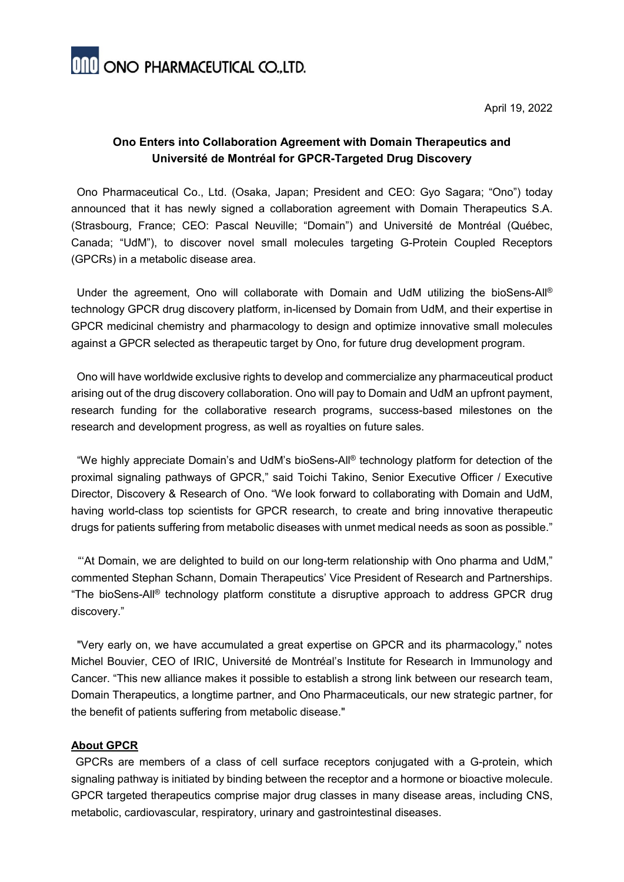**ONO ONO PHARMACEUTICAL CO.,LTD.** 

April 19, 2022

## **Ono Enters into Collaboration Agreement with Domain Therapeutics and Université de Montréal for GPCR-Targeted Drug Discovery**

Ono Pharmaceutical Co., Ltd. (Osaka, Japan; President and CEO: Gyo Sagara; "Ono") today announced that it has newly signed a collaboration agreement with Domain Therapeutics S.A. (Strasbourg, France; CEO: Pascal Neuville; "Domain") and Université de Montréal (Québec, Canada; "UdM"), to discover novel small molecules targeting G-Protein Coupled Receptors (GPCRs) in a metabolic disease area.

Under the agreement, Ono will collaborate with Domain and UdM utilizing the bioSens-All<sup>®</sup> technology GPCR drug discovery platform, in-licensed by Domain from UdM, and their expertise in GPCR medicinal chemistry and pharmacology to design and optimize innovative small molecules against a GPCR selected as therapeutic target by Ono, for future drug development program.

Ono will have worldwide exclusive rights to develop and commercialize any pharmaceutical product arising out of the drug discovery collaboration. Ono will pay to Domain and UdM an upfront payment, research funding for the collaborative research programs, success-based milestones on the research and development progress, as well as royalties on future sales.

"We highly appreciate Domain's and UdM's bioSens-All® technology platform for detection of the proximal signaling pathways of GPCR," said Toichi Takino, Senior Executive Officer / Executive Director, Discovery & Research of Ono. "We look forward to collaborating with Domain and UdM, having world-class top scientists for GPCR research, to create and bring innovative therapeutic drugs for patients suffering from metabolic diseases with unmet medical needs as soon as possible."

"'At Domain, we are delighted to build on our long-term relationship with Ono pharma and UdM," commented Stephan Schann, Domain Therapeutics' Vice President of Research and Partnerships. "The bioSens-All® technology platform constitute a disruptive approach to address GPCR drug discovery."

"Very early on, we have accumulated a great expertise on GPCR and its pharmacology," notes Michel Bouvier, CEO of IRIC, Université de Montréal's Institute for Research in Immunology and Cancer. "This new alliance makes it possible to establish a strong link between our research team, Domain Therapeutics, a longtime partner, and Ono Pharmaceuticals, our new strategic partner, for the benefit of patients suffering from metabolic disease."

## **About GPCR**

GPCRs are members of a class of cell surface receptors conjugated with a G-protein, which signaling pathway is initiated by binding between the receptor and a hormone or bioactive molecule. GPCR targeted therapeutics comprise major drug classes in many disease areas, including CNS, metabolic, cardiovascular, respiratory, urinary and gastrointestinal diseases.